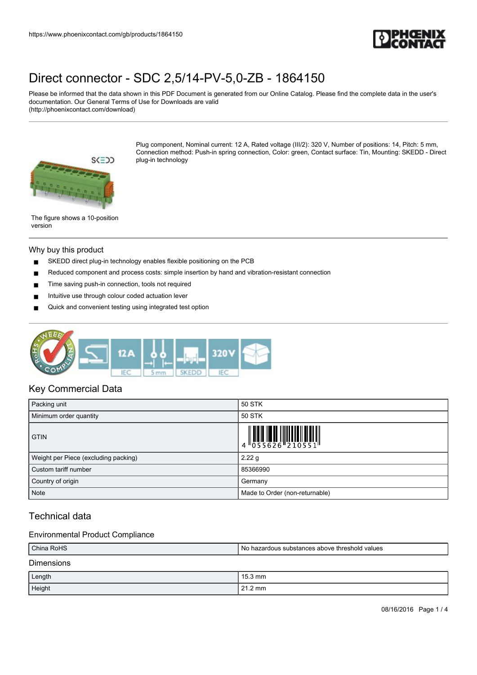

Please be informed that the data shown in this PDF Document is generated from our Online Catalog. Please find the complete data in the user's documentation. Our General Terms of Use for Downloads are valid (http://phoenixcontact.com/download)



Plug component, Nominal current: 12 A, Rated voltage (III/2): 320 V, Number of positions: 14, Pitch: 5 mm, Connection method: Push-in spring connection, Color: green, Contact surface: Tin, Mounting: SKEDD - Direct plug-in technology

The figure shows a 10-position version

### Why buy this product

- SKEDD direct plug-in technology enables flexible positioning on the PCB
- Reduced component and process costs: simple insertion by hand and vibration-resistant connection
- Time saving push-in connection, tools not required
- Intuitive use through colour coded actuation lever
- Quick and convenient testing using integrated test option



### Key Commercial Data

| Packing unit                         | 50 STK                                                                                                                                                                                                                                                                                                                      |
|--------------------------------------|-----------------------------------------------------------------------------------------------------------------------------------------------------------------------------------------------------------------------------------------------------------------------------------------------------------------------------|
| Minimum order quantity               | 50 STK                                                                                                                                                                                                                                                                                                                      |
| <b>GTIN</b>                          | $\begin{array}{c} 1 & 0 & 0 & 0 \\ 0 & 0 & 0 & 0 & 0 \\ 0 & 0 & 0 & 0 & 0 \\ 0 & 0 & 0 & 0 & 0 \\ 0 & 0 & 0 & 0 & 0 \\ 0 & 0 & 0 & 0 & 0 \\ 0 & 0 & 0 & 0 & 0 \\ 0 & 0 & 0 & 0 & 0 \\ 0 & 0 & 0 & 0 & 0 \\ 0 & 0 & 0 & 0 & 0 \\ 0 & 0 & 0 & 0 & 0 & 0 \\ 0 & 0 & 0 & 0 & 0 & 0 \\ 0 & 0 & 0 & 0 & 0 & 0 \\ 0 & 0 & 0 & 0 &$ |
| Weight per Piece (excluding packing) | 2.22g                                                                                                                                                                                                                                                                                                                       |
| Custom tariff number                 | 85366990                                                                                                                                                                                                                                                                                                                    |
| Country of origin                    | Germany                                                                                                                                                                                                                                                                                                                     |
| <b>Note</b>                          | Made to Order (non-returnable)                                                                                                                                                                                                                                                                                              |

## Technical data

### Environmental Product Compliance

| China RoHS<br>l No hazardous substances above threshold values |                   |
|----------------------------------------------------------------|-------------------|
| <b>Dimensions</b>                                              |                   |
| Length                                                         | $15.3 \text{ mm}$ |
| Height                                                         | $21.2 \text{ mm}$ |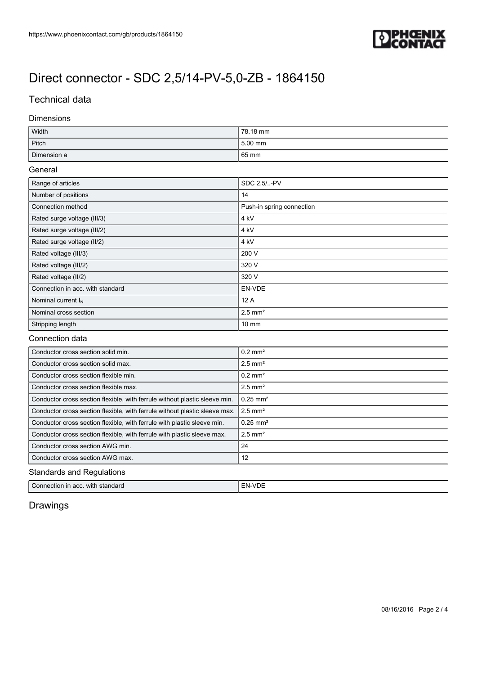

## Technical data

### Dimensions

| Width       | 78.18 mm |
|-------------|----------|
| Pitch       | 5.00 mm  |
| Dimension a | 65 mm    |

### General

| Range of articles                | SDC 2.5/-PV               |  |
|----------------------------------|---------------------------|--|
| Number of positions              | 14                        |  |
| Connection method                | Push-in spring connection |  |
| Rated surge voltage (III/3)      | 4 kV                      |  |
| Rated surge voltage (III/2)      | 4 kV                      |  |
| Rated surge voltage (II/2)       | 4 kV                      |  |
| Rated voltage (III/3)            | 200 V                     |  |
| Rated voltage (III/2)            | 320 V                     |  |
| Rated voltage (II/2)             | 320 V                     |  |
| Connection in acc. with standard | EN-VDE                    |  |
| Nominal current $I_N$            | 12A                       |  |
| Nominal cross section            | $2.5$ mm <sup>2</sup>     |  |
| Stripping length                 | $10 \text{ mm}$           |  |

### Connection data

| Conductor cross section solid min.                                         | $0.2$ mm <sup>2</sup>  |  |
|----------------------------------------------------------------------------|------------------------|--|
| Conductor cross section solid max.                                         | $2.5$ mm <sup>2</sup>  |  |
| Conductor cross section flexible min.                                      | $0.2$ mm <sup>2</sup>  |  |
| Conductor cross section flexible max.                                      | $2.5$ mm <sup>2</sup>  |  |
| Conductor cross section flexible, with ferrule without plastic sleeve min. | $0.25$ mm <sup>2</sup> |  |
| Conductor cross section flexible, with ferrule without plastic sleeve max. | $2.5$ mm <sup>2</sup>  |  |
| Conductor cross section flexible, with ferrule with plastic sleeve min.    | $0.25$ mm <sup>2</sup> |  |
| Conductor cross section flexible, with ferrule with plastic sleeve max.    | $2.5$ mm <sup>2</sup>  |  |
| Conductor cross section AWG min.                                           | -24                    |  |
| Conductor cross section AWG max.                                           | 12                     |  |
| <b>Standards and Regulations</b>                                           |                        |  |

| Connection in acc.<br>$-FN-VP^-$<br>with<br>standard<br>VDE |
|-------------------------------------------------------------|
|-------------------------------------------------------------|

## Drawings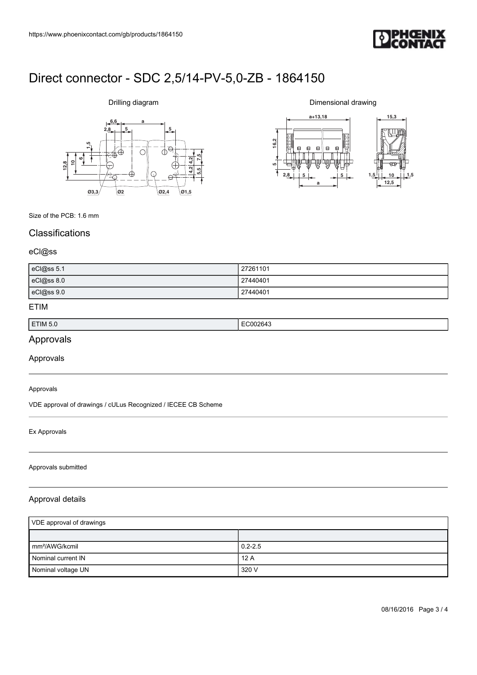

# **6,6 a**  $2,8$   $5$ **612,810 1,5 7,5 5,5 4,2 4,2 Ø3,3 Ø2 Ø2,4 Ø1,5**

Drilling diagram

Dimensional drawing



Size of the PCB: 1.6 mm

## **Classifications**

### eCl@ss

| eCl@ss 5.1 | 27261101 |
|------------|----------|
| eCl@ss 8.0 | 27440401 |
| eCl@ss 9.0 | 27440401 |

### ETIM

| ETIM 5.0 | .<br>. |
|----------|--------|
|          |        |

## Approvals

Approvals

#### Approvals

VDE approval of drawings / cULus Recognized / IECEE CB Scheme

### Ex Approvals

#### Approvals submitted

### Approval details

| VDE approval of drawings    |             |
|-----------------------------|-------------|
|                             |             |
| $\mathsf{Imm}^2$ /AWG/kcmil | $0.2 - 2.5$ |
| Nominal current IN          | 12A         |
| Nominal voltage UN          | 320 V       |